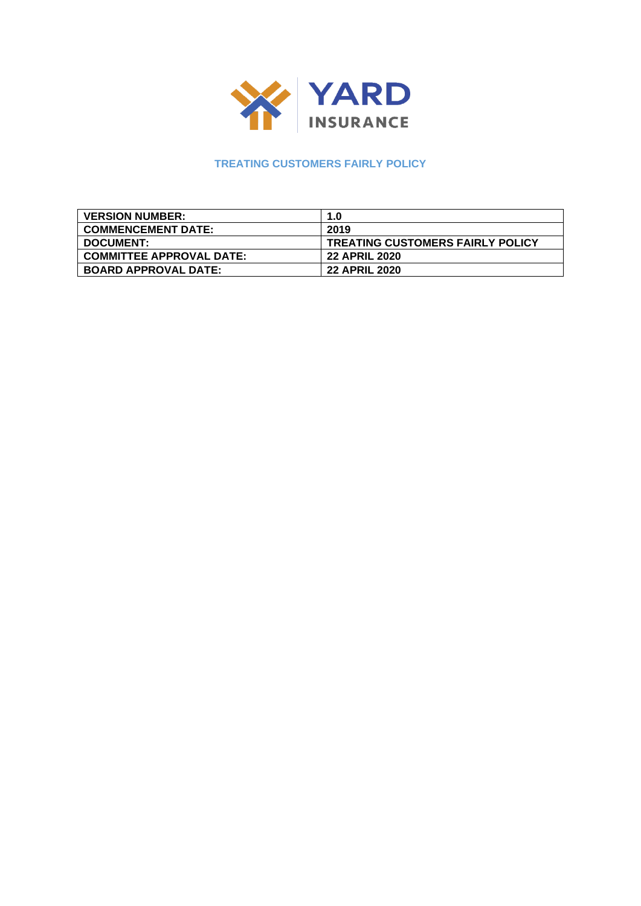

# **TREATING CUSTOMERS FAIRLY POLICY**

| <b>VERSION NUMBER:</b>          | 1.0                                     |
|---------------------------------|-----------------------------------------|
| <b>COMMENCEMENT DATE:</b>       | 2019                                    |
| <b>DOCUMENT:</b>                | <b>TREATING CUSTOMERS FAIRLY POLICY</b> |
| <b>COMMITTEE APPROVAL DATE:</b> | <b>22 APRIL 2020</b>                    |
| <b>BOARD APPROVAL DATE:</b>     | <b>22 APRIL 2020</b>                    |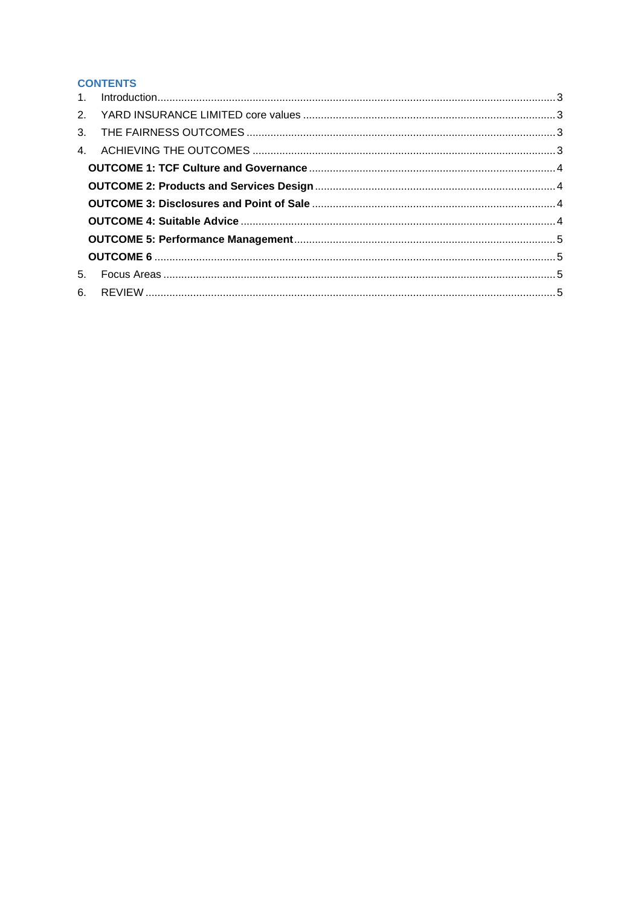# **CONTENTS**

| 5. |  |
|----|--|
|    |  |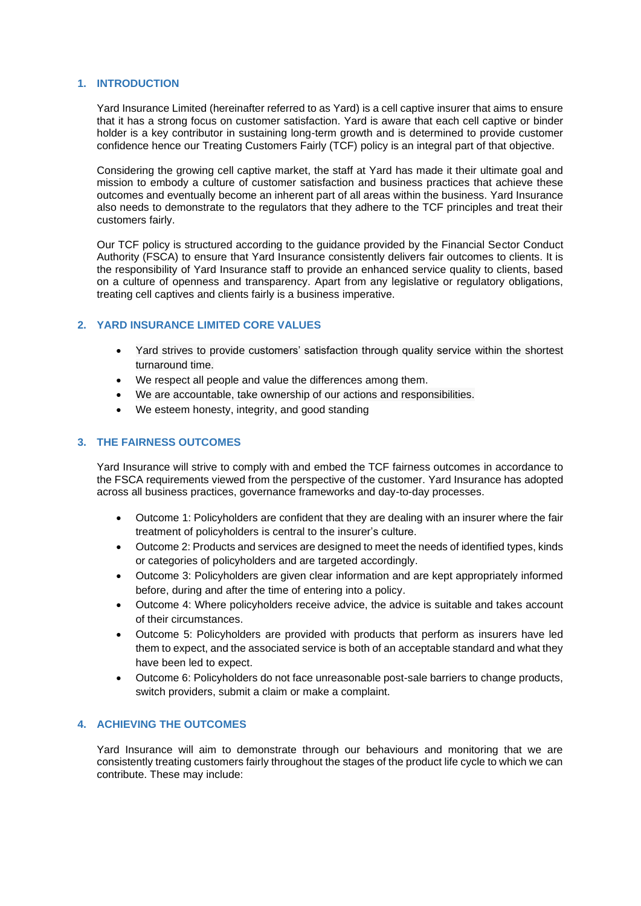# <span id="page-2-0"></span>**1. INTRODUCTION**

Yard Insurance Limited (hereinafter referred to as Yard) is a cell captive insurer that aims to ensure that it has a strong focus on customer satisfaction. Yard is aware that each cell captive or binder holder is a key contributor in sustaining long-term growth and is determined to provide customer confidence hence our Treating Customers Fairly (TCF) policy is an integral part of that objective.

Considering the growing cell captive market, the staff at Yard has made it their ultimate goal and mission to embody a culture of customer satisfaction and business practices that achieve these outcomes and eventually become an inherent part of all areas within the business. Yard Insurance also needs to demonstrate to the regulators that they adhere to the TCF principles and treat their customers fairly.

Our TCF policy is structured according to the guidance provided by the Financial Sector Conduct Authority (FSCA) to ensure that Yard Insurance consistently delivers fair outcomes to clients. It is the responsibility of Yard Insurance staff to provide an enhanced service quality to clients, based on a culture of openness and transparency. Apart from any legislative or regulatory obligations, treating cell captives and clients fairly is a business imperative.

# <span id="page-2-1"></span>**2. YARD INSURANCE LIMITED CORE VALUES**

- Yard strives to provide customers' satisfaction through quality service within the shortest turnaround time.
- We respect all people and value the differences among them.
- We are accountable, take ownership of our actions and responsibilities.
- We esteem honesty, integrity, and good standing

#### <span id="page-2-2"></span>**3. THE FAIRNESS OUTCOMES**

Yard Insurance will strive to comply with and embed the TCF fairness outcomes in accordance to the FSCA requirements viewed from the perspective of the customer. Yard Insurance has adopted across all business practices, governance frameworks and day-to-day processes.

- Outcome 1: Policyholders are confident that they are dealing with an insurer where the fair treatment of policyholders is central to the insurer's culture.
- Outcome 2: Products and services are designed to meet the needs of identified types, kinds or categories of policyholders and are targeted accordingly.
- Outcome 3: Policyholders are given clear information and are kept appropriately informed before, during and after the time of entering into a policy.
- Outcome 4: Where policyholders receive advice, the advice is suitable and takes account of their circumstances.
- Outcome 5: Policyholders are provided with products that perform as insurers have led them to expect, and the associated service is both of an acceptable standard and what they have been led to expect.
- Outcome 6: Policyholders do not face unreasonable post-sale barriers to change products, switch providers, submit a claim or make a complaint.

# <span id="page-2-3"></span>**4. ACHIEVING THE OUTCOMES**

Yard Insurance will aim to demonstrate through our behaviours and monitoring that we are consistently treating customers fairly throughout the stages of the product life cycle to which we can contribute. These may include: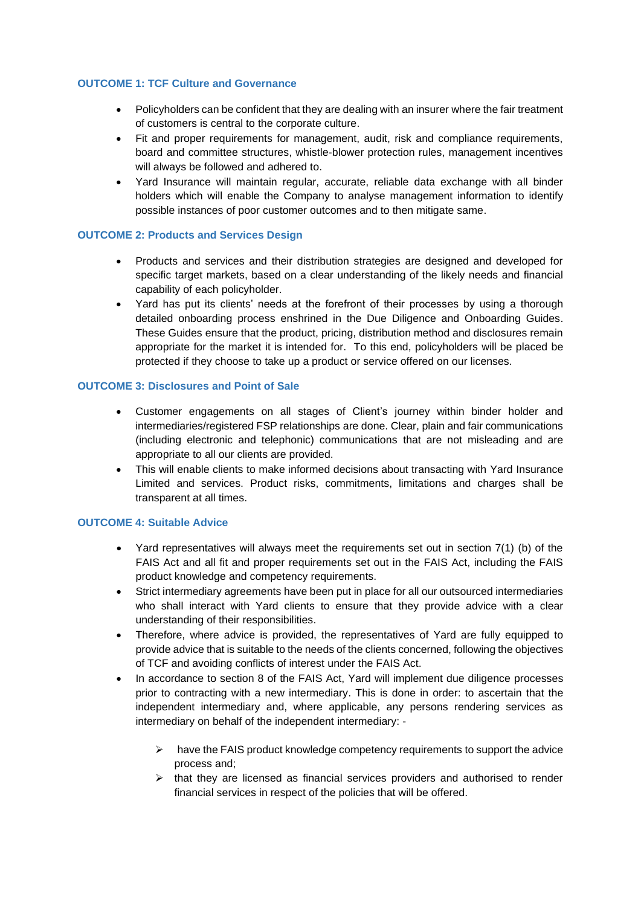# <span id="page-3-0"></span>**OUTCOME 1: TCF Culture and Governance**

- Policyholders can be confident that they are dealing with an insurer where the fair treatment of customers is central to the corporate culture.
- Fit and proper requirements for management, audit, risk and compliance requirements, board and committee structures, whistle-blower protection rules, management incentives will always be followed and adhered to.
- Yard Insurance will maintain regular, accurate, reliable data exchange with all binder holders which will enable the Company to analyse management information to identify possible instances of poor customer outcomes and to then mitigate same.

#### <span id="page-3-1"></span>**OUTCOME 2: Products and Services Design**

- Products and services and their distribution strategies are designed and developed for specific target markets, based on a clear understanding of the likely needs and financial capability of each policyholder.
- Yard has put its clients' needs at the forefront of their processes by using a thorough detailed onboarding process enshrined in the Due Diligence and Onboarding Guides. These Guides ensure that the product, pricing, distribution method and disclosures remain appropriate for the market it is intended for. To this end, policyholders will be placed be protected if they choose to take up a product or service offered on our licenses.

#### <span id="page-3-2"></span>**OUTCOME 3: Disclosures and Point of Sale**

- Customer engagements on all stages of Client's journey within binder holder and intermediaries/registered FSP relationships are done. Clear, plain and fair communications (including electronic and telephonic) communications that are not misleading and are appropriate to all our clients are provided.
- This will enable clients to make informed decisions about transacting with Yard Insurance Limited and services. Product risks, commitments, limitations and charges shall be transparent at all times.

#### <span id="page-3-3"></span>**OUTCOME 4: Suitable Advice**

- Yard representatives will always meet the requirements set out in section 7(1) (b) of the FAIS Act and all fit and proper requirements set out in the FAIS Act, including the FAIS product knowledge and competency requirements.
- Strict intermediary agreements have been put in place for all our outsourced intermediaries who shall interact with Yard clients to ensure that they provide advice with a clear understanding of their responsibilities.
- Therefore, where advice is provided, the representatives of Yard are fully equipped to provide advice that is suitable to the needs of the clients concerned, following the objectives of TCF and avoiding conflicts of interest under the FAIS Act.
- In accordance to section 8 of the FAIS Act, Yard will implement due diligence processes prior to contracting with a new intermediary. This is done in order: to ascertain that the independent intermediary and, where applicable, any persons rendering services as intermediary on behalf of the independent intermediary: -
	- $\triangleright$  have the FAIS product knowledge competency requirements to support the advice process and;
	- $\triangleright$  that they are licensed as financial services providers and authorised to render financial services in respect of the policies that will be offered.